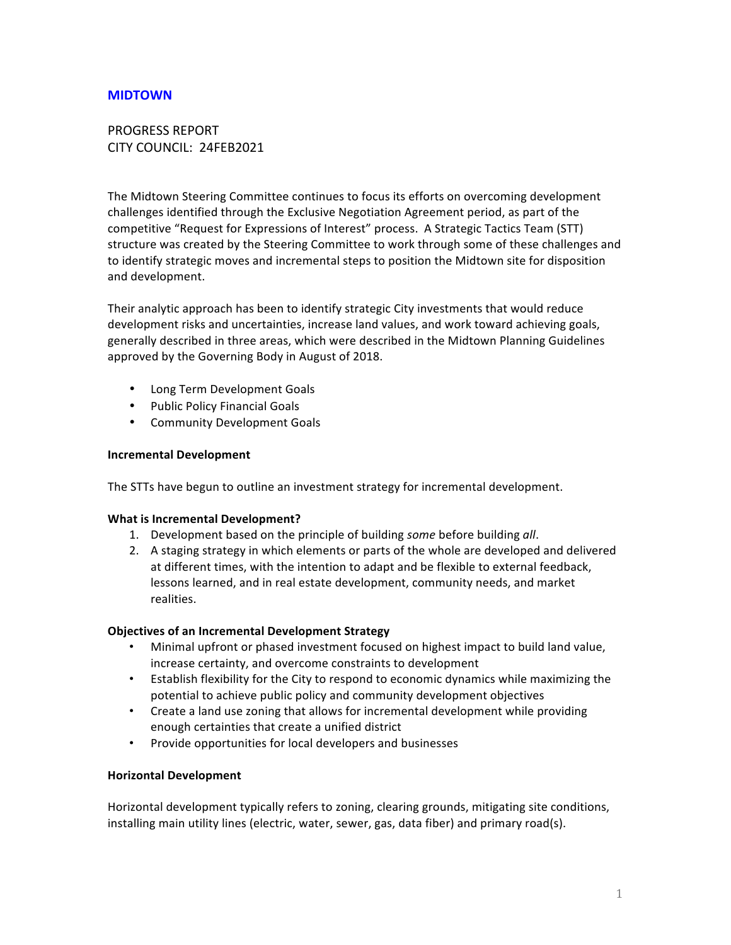## **MIDTOWN**

# PROGRESS REPORT CITY COUNCIL: 24FEB2021

The Midtown Steering Committee continues to focus its efforts on overcoming development challenges identified through the Exclusive Negotiation Agreement period, as part of the competitive "Request for Expressions of Interest" process. A Strategic Tactics Team (STT) structure was created by the Steering Committee to work through some of these challenges and to identify strategic moves and incremental steps to position the Midtown site for disposition and development.

Their analytic approach has been to identify strategic City investments that would reduce development risks and uncertainties, increase land values, and work toward achieving goals, generally described in three areas, which were described in the Midtown Planning Guidelines approved by the Governing Body in August of 2018.

- Long Term Development Goals
- Public Policy Financial Goals
- Community Development Goals

#### **Incremental Development**

The STTs have begun to outline an investment strategy for incremental development.

### **What is Incremental Development?**

- 1. Development based on the principle of building *some* before building all.
- 2. A staging strategy in which elements or parts of the whole are developed and delivered at different times, with the intention to adapt and be flexible to external feedback, lessons learned, and in real estate development, community needs, and market realities.

### **Objectives of an Incremental Development Strategy**

- Minimal upfront or phased investment focused on highest impact to build land value, increase certainty, and overcome constraints to development
- Establish flexibility for the City to respond to economic dynamics while maximizing the potential to achieve public policy and community development objectives
- Create a land use zoning that allows for incremental development while providing enough certainties that create a unified district
- Provide opportunities for local developers and businesses

### **Horizontal Development**

Horizontal development typically refers to zoning, clearing grounds, mitigating site conditions, installing main utility lines (electric, water, sewer, gas, data fiber) and primary road(s).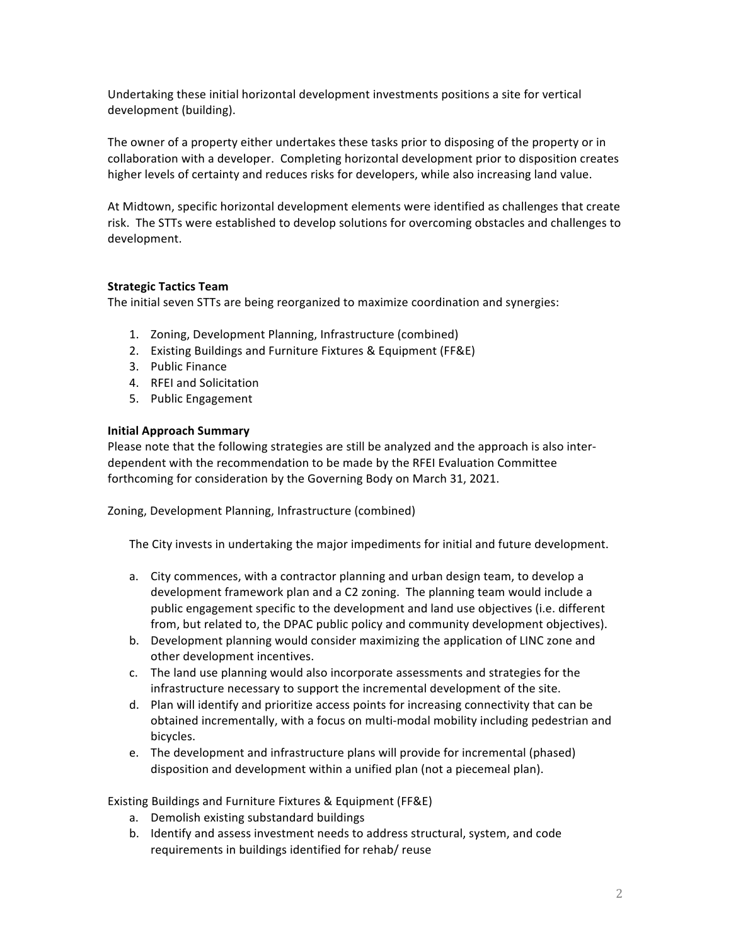Undertaking these initial horizontal development investments positions a site for vertical development (building).

The owner of a property either undertakes these tasks prior to disposing of the property or in collaboration with a developer. Completing horizontal development prior to disposition creates higher levels of certainty and reduces risks for developers, while also increasing land value.

At Midtown, specific horizontal development elements were identified as challenges that create risk. The STTs were established to develop solutions for overcoming obstacles and challenges to development.

## **Strategic Tactics Team**

The initial seven STTs are being reorganized to maximize coordination and synergies:

- 1. Zoning, Development Planning, Infrastructure (combined)
- 2. Existing Buildings and Furniture Fixtures & Equipment (FF&E)
- 3. Public Finance
- 4. RFEI and Solicitation
- 5. Public Engagement

### **Initial Approach Summary**

Please note that the following strategies are still be analyzed and the approach is also interdependent with the recommendation to be made by the RFEI Evaluation Committee forthcoming for consideration by the Governing Body on March 31, 2021.

Zoning, Development Planning, Infrastructure (combined)

The City invests in undertaking the major impediments for initial and future development.

- a. City commences, with a contractor planning and urban design team, to develop a development framework plan and a C2 zoning. The planning team would include a public engagement specific to the development and land use objectives (i.e. different from, but related to, the DPAC public policy and community development objectives).
- b. Development planning would consider maximizing the application of LINC zone and other development incentives.
- c. The land use planning would also incorporate assessments and strategies for the infrastructure necessary to support the incremental development of the site.
- d. Plan will identify and prioritize access points for increasing connectivity that can be obtained incrementally, with a focus on multi-modal mobility including pedestrian and bicycles.
- e. The development and infrastructure plans will provide for incremental (phased) disposition and development within a unified plan (not a piecemeal plan).

Existing Buildings and Furniture Fixtures & Equipment (FF&E)

- a. Demolish existing substandard buildings
- b. Identify and assess investment needs to address structural, system, and code requirements in buildings identified for rehab/ reuse